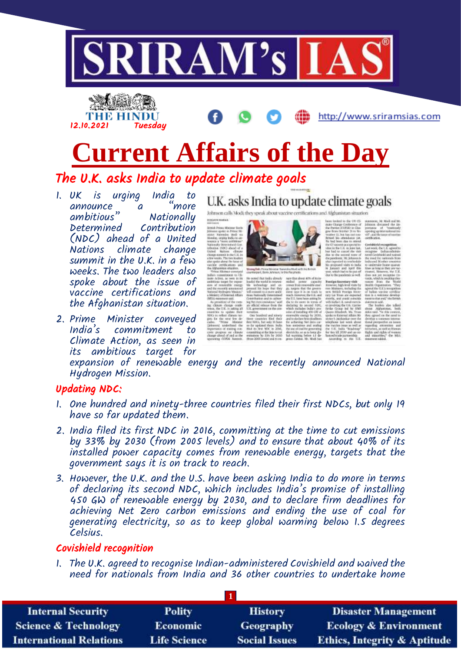



The U.K. asks India to update climate goals

1. UK is urging India to announce a ambitious" Nationally Contribution (NDC) ahead of a United Nations climate change summit in the U.K. in a few weeks. The two leaders also spoke about the issue of vaccine certifications and the Afghanistan situation.

12.10.2021 Tuesday

2. Prime Minister conveyed India's commitment to Climate Action, as seen in its ambitious target for

U.K. asks India to update climate goals

Johnson calls Modi, they spe



expansion of renewable energy and the recently announced National Hydrogen Mission.

#### Updating NDC:

- 1. One hundred and ninety-three countries filed their first NDCs, but only 19 have so far updated them.
- 2. India filed its first NDC in 2016, committing at the time to cut emissions by 33% by 2030 (from 2005 levels) and to ensure that about 40% of its installed power capacity comes from renewable energy, targets that the government says it is on track to reach.
- 3. However, the U.K. and the U.S. have been asking India to do more in terms of declaring its second NDC, which includes India's promise of installing 450 GW of renewable energy by 2030, and to declare firm deadlines for achieving Net Zero carbon emissions and ending the use of coal for generating electricity, so as to keep global warming below 1.5 degrees Celsius.

### Covishield recognition

1. The U.K. agreed to recognise Indian-administered Covishield and waived the need for nationals from India and 36 other countries to undertake home

| <b>Internal Security</b>        | <b>Polity</b>       | <b>History</b>       | <b>Disaster Management</b>              |
|---------------------------------|---------------------|----------------------|-----------------------------------------|
| <b>Science &amp; Technology</b> | <b>Economic</b>     | Geography            | <b>Ecology &amp; Environment</b>        |
| <b>International Relations</b>  | <b>Life Science</b> | <b>Social Issues</b> | <b>Ethics, Integrity &amp; Aptitude</b> |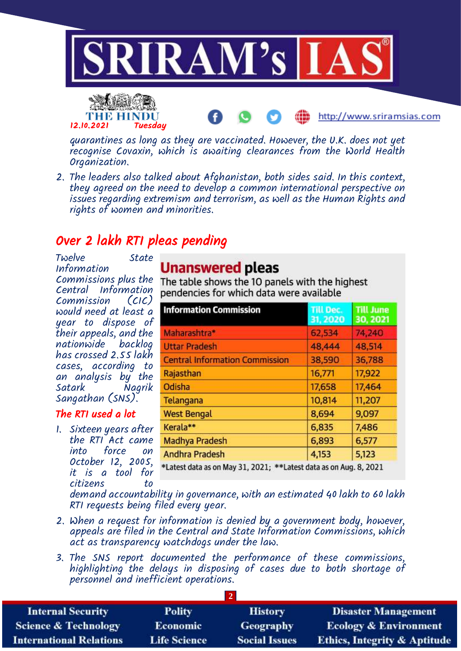



quarantines as long as they are vaccinated. However, the U.K. does not yet recognise Covaxin, which is awaiting clearances from the World Health Organization.

http://www.sriramsias.com

2. The leaders also talked about Afghanistan, both sides said. In this context, they agreed on the need to develop a common international perspective on issues regarding extremism and terrorism, as well as the Human Rights and rights of women and minorities.

## Over 2 lakh RTI pleas pending

Twelve State Information Commissions plus the Central Information Commission (CIC) would need at least a year to dispose of their appeals, and the nationwide backlog has crossed 2.55 lakh cases, according to an analysis by the Nagrik Sangathan (SNS).

### The RTI used a lot

1. Sixteen years after the RTI Act came into force on October 12, 2005, it is a tool for citizens to

## **Unanswered pleas**

The table shows the 10 panels with the highest pendencies for which data were available

| <b>Information Commission</b>                                     | <b>Till Dec.</b><br>31, 2020 | <b>Till June</b><br>30, 2021 |
|-------------------------------------------------------------------|------------------------------|------------------------------|
| Maharashtra*                                                      | 62,534                       | 74,240                       |
| <b>Uttar Pradesh</b>                                              | 48,444                       | 48,514                       |
| <b>Central Information Commission</b>                             | 38,590                       | 36,788                       |
| Rajasthan                                                         | 16,771                       | 17,922                       |
| Odisha                                                            | 17,658                       | 17,464                       |
| Telangana                                                         | 10,814                       | 11,207                       |
| <b>West Bengal</b>                                                | 8,694                        | 9,097                        |
| Kerala**                                                          | 6,835                        | 7,486                        |
| <b>Madhya Pradesh</b>                                             | 6,893                        | 6,577                        |
| <b>Andhra Pradesh</b>                                             | 4,153                        | 5,123                        |
| *Latest data as on May 31, 2021; **Latest data as on Aug. 8, 2021 |                              |                              |

demand accountability in governance, with an estimated 40 lakh to 60 lakh RTI requests being filed every year.

- 2. When a request for information is denied by a government body, however, appeals are filed in the Central and State Information Commissions, which act as transparency watchdogs under the law.
- 3. The SNS report documented the performance of these commissions, highlighting the delays in disposing of cases due to both shortage of personnel and inefficient operations.

| <b>Internal Security</b>        | <b>Polity</b>       | <b>History</b>       | <b>Disaster Management</b>              |
|---------------------------------|---------------------|----------------------|-----------------------------------------|
| <b>Science &amp; Technology</b> | <b>Economic</b>     | Geography            | <b>Ecology &amp; Environment</b>        |
| <b>International Relations</b>  | <b>Life Science</b> | <b>Social Issues</b> | <b>Ethics, Integrity &amp; Aptitude</b> |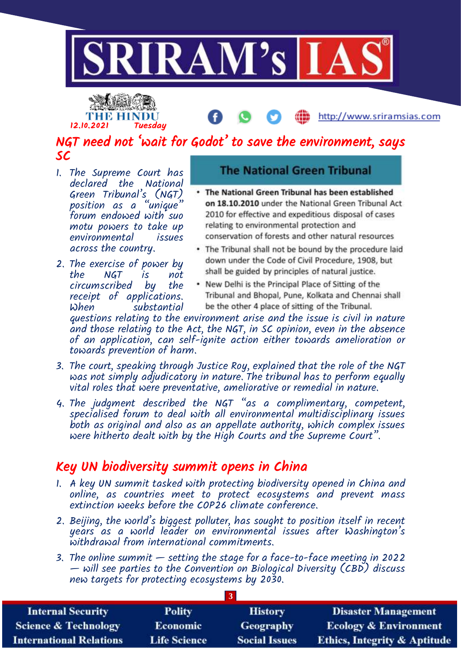



### NGT need not 'wait for Godot' to save the environment, says SC

- 1. The Supreme Court has declared the National Green Tribunal's (NGT<u>)</u> position as a "unique" forum endowed with suo motu powers to take up environmental issues across the country.
- 2. The exercise of power by NGT is not<br>scribed bu the circumscribed by receipt of applications. When substantial

### **The National Green Tribunal**

- . The National Green Tribunal has been established on 18.10.2010 under the National Green Tribunal Act 2010 for effective and expeditious disposal of cases relating to environmental protection and conservation of forests and other natural resources
- . The Tribunal shall not be bound by the procedure laid down under the Code of Civil Procedure, 1908, but shall be guided by principles of natural justice.
- New Delhi is the Principal Place of Sitting of the Tribunal and Bhopal, Pune, Kolkata and Chennai shall be the other 4 place of sitting of the Tribunal.

questions relating to the environment arise and the issue is civil in nature and those relating to the Act, the NGT, in SC opinion, even in the absence of an application, can self-ignite action either towards amelioration or towards prevention of harm.

- 3. The court, speaking through Justice Roy, explained that the role of the NGT was not simply adjudicatory in nature. The tribunal has to perform equally vital roles that were preventative, ameliorative or remedial in nature.
- 4. The judgment described the NGT "as a complimentary, competent, specialised forum to deal with all environmental multidisciplinary issues both as original and also as an appellate authority, which complex issues were hitherto dealt with by the High Courts and the Supreme Court".

### Key UN biodiversity summit opens in China

- 1. A key UN summit tasked with protecting biodiversity opened in China and online, as countries meet to protect ecosystems and prevent mass extinction weeks before the COP26 climate conference.
- 2. Beijing, the world's biggest polluter, has sought to position itself in recent years as a world leader on environmental issues after Washington's withdrawal from international commitments.
- 3. The online summit setting the stage for a face-to-face meeting in 2022 — will see parties to the Convention on Biological Diversity (CBD) discuss new targets for protecting ecosystems by 2030.

| <b>Internal Security</b>        | <b>Polity</b>       | <b>History</b>       | <b>Disaster Management</b>              |
|---------------------------------|---------------------|----------------------|-----------------------------------------|
| <b>Science &amp; Technology</b> | <b>Economic</b>     | <b>Geography</b>     | <b>Ecology &amp; Environment</b>        |
| <b>International Relations</b>  | <b>Life Science</b> | <b>Social Issues</b> | <b>Ethics, Integrity &amp; Aptitude</b> |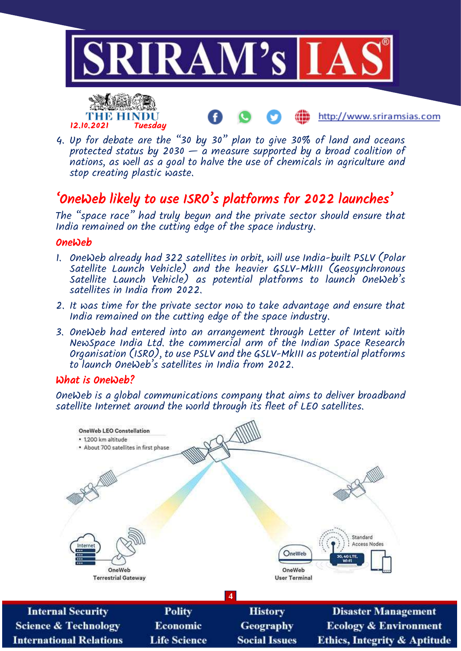



stop creating plastic waste.

4. Up for debate are the "30 by 30" plan to give 30% of land and oceans protected status by 2030  $-$  a measure supported by a broad coalition of nations, as well as a goal to halve the use of chemicals in agriculture and

# 'OneWeb likely to use ISRO's platforms for 2022 launches'

The "space race" had truly begun and the private sector should ensure that India remained on the cutting edge of the space industry.

#### **OneWeb**

- 1. OneWeb already had 322 satellites in orbit, will use India-built PSLV (Polar Satellite Launch Vehicle) and the heavier GSLV-MkIII (Geosynchronous Satellite Launch Vehicle) as potential platforms to launch OneWeb's satellites in India from 2022.
- 2. It was time for the private sector now to take advantage and ensure that India remained on the cutting edge of the space industry.
- 3. OneWeb had entered into an arrangement through Letter of Intent with NewSpace India Ltd. the commercial arm of the Indian Space Research Organisation (ISRO), to use PSLV and the GSLV-MkIII as potential platforms to launch OneWeb's satellites in India from 2022.

### What is OneWeb?

**International Relations** 

OneWeb is a global communications company that aims to deliver broadband satellite Internet around the world through its fleet of LEO satellites.



**Social Issues** 

**Life Science** 

**Ethics, Integrity & Aptitude** 

http://www.sriramsias.com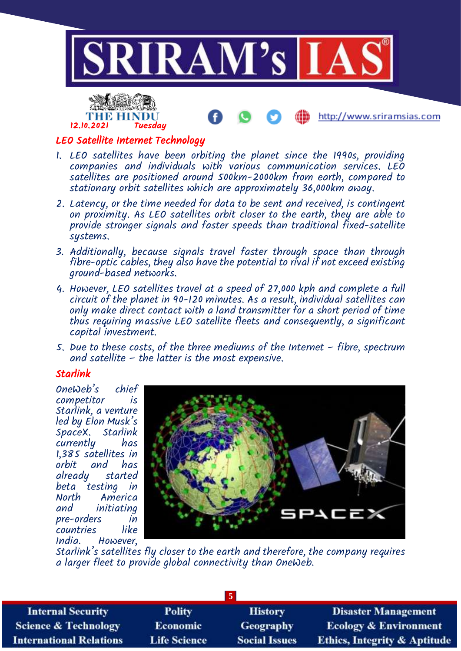



#### LEO Satellite Internet Technology

- 1. LEO satellites have been orbiting the planet since the 1990s, providing companies and individuals with various communication services. LEO satellites are positioned around 500km-2000km from earth, compared to stationary orbit satellites which are approximately 36,000km away.
- 2. Latency, or the time needed for data to be sent and received, is contingent on proximity. As LEO satellites orbit closer to the earth, they are able to provide stronger signals and faster speeds than traditional fixed-satellite systems.
- 3. Additionally, because signals travel faster through space than through fibre-optic cables, they also have the potential to rival if not exceed existing ground-based networks.
- 4. However, LEO satellites travel at a speed of 27,000 kph and complete a full circuit of the planet in 90-120 minutes. As a result, individual satellites can only make direct contact with a land transmitter for a short period of time thus requiring massive LEO satellite fleets and consequently, a significant capital investment.
- 5. Due to these costs, of the three mediums of the Internet fibre, spectrum and satellite – the latter is the most expensive.

#### Starlink

OneWeb's chief competitor is Starlink, a venture led by Elon Musk's SpaceX. Starlink currently 1,385 satellites in and has already started beta testing in<br>North - America North America initiating pre-orders in countries<br>India. However,



Starlink's satellites fly closer to the earth and therefore, the company requires a larger fleet to provide global connectivity than OneWeb.

| <b>Internal Security</b>        | <b>Polity</b>       | <b>History</b>       | <b>Disaster Management</b>              |
|---------------------------------|---------------------|----------------------|-----------------------------------------|
| <b>Science &amp; Technology</b> | <b>Economic</b>     | <b>Geography</b>     | <b>Ecology &amp; Environment</b>        |
| <b>International Relations</b>  | <b>Life Science</b> | <b>Social Issues</b> | <b>Ethics, Integrity &amp; Aptitude</b> |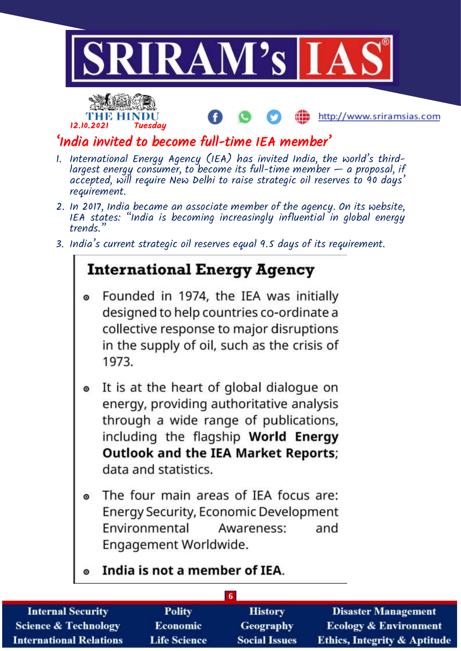



## 'India invited to become full-time IEA member'

- 1. International Energy Agency (IEA) has invited India, the world's thirdlargest energy consumer, to become its full-time member — a proposal, if accepted, will require New Delhi to raise strategic oil reserves to 90 days' requirement.
- 2. In 2017, India became an associate member of the agency. On its website, IEA states: "India is becoming increasingly influential in global energy trends."
- 3. India's current strategic oil reserves equal 9.5 days of its requirement.

# **International Energy Agency**

- Founded in 1974, the IEA was initially designed to help countries co-ordinate a collective response to major disruptions in the supply of oil, such as the crisis of 1973.
- It is at the heart of global dialogue on  $\bullet$ energy, providing authoritative analysis through a wide range of publications, including the flagship World Energy **Outlook and the IEA Market Reports;** data and statistics.
- The four main areas of IEA focus are:  $\bullet$ Energy Security, Economic Development Environmental Awareness: and Engagement Worldwide.
- India is not a member of IEA.  $\bullet$

| <b>Internal Security</b>        | <b>Polity</b>       | <b>History</b>       | <b>Disaster Management</b>              |
|---------------------------------|---------------------|----------------------|-----------------------------------------|
| <b>Science &amp; Technology</b> | <b>Economic</b>     | <b>Geography</b>     | <b>Ecology &amp; Environment</b>        |
| <b>International Relations</b>  | <b>Life Science</b> | <b>Social Issues</b> | <b>Ethics, Integrity &amp; Aptitude</b> |

**6**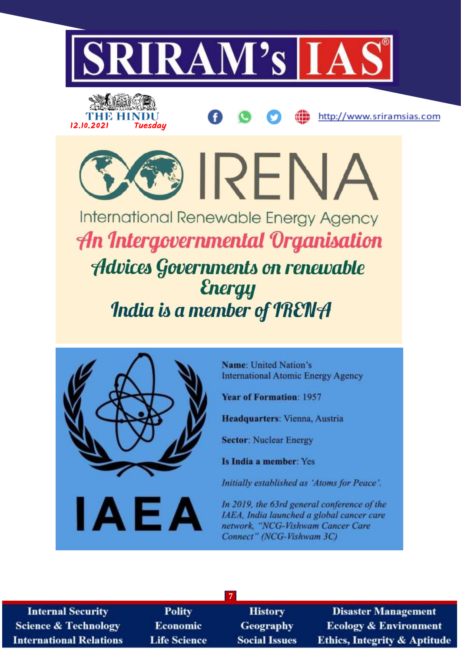

**International Renewable Energy Agency** An Intergovernmental Organisation **Advices Governments on renewable Energy** India is a member of IRENA



Name: United Nation's **International Atomic Energy Agency** 

**Year of Formation: 1957** 

Headquarters: Vienna, Austria

**Sector: Nuclear Energy** 

Is India a member: Yes

Initially established as 'Atoms for Peace'.

In 2019, the 63rd general conference of the IAEA, India launched a global cancer care network, "NCG-Vishwam Cancer Care Connect" (NCG-Vishwam 3C)

**Internal Security Science & Technology International Relations** 

**Polity Economic Life Science** 

**History Geography Social Issues** 

**7**

**Disaster Management Ecology & Environment Ethics, Integrity & Aptitude**